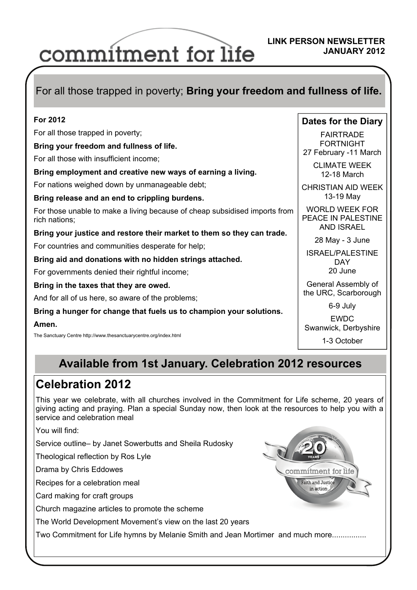# commitment for life

#### **LINK PERSON NEWSLETTER JANUARY 2012**

### For all those trapped in poverty; **Bring your freedom and fullness of life.**

| For 2012                                                                                    | Dates for the Diary                                              |
|---------------------------------------------------------------------------------------------|------------------------------------------------------------------|
| For all those trapped in poverty;                                                           | <b>FAIRTRADE</b>                                                 |
| Bring your freedom and fullness of life.                                                    | <b>FORTNIGHT</b><br>27 February -11 March                        |
| For all those with insufficient income;                                                     |                                                                  |
| Bring employment and creative new ways of earning a living.                                 | <b>CLIMATE WEEK</b><br>12-18 March                               |
| For nations weighed down by unmanageable debt;                                              | <b>CHRISTIAN AID WEEK</b>                                        |
| Bring release and an end to crippling burdens.                                              | 13-19 May                                                        |
| For those unable to make a living because of cheap subsidised imports from<br>rich nations; | <b>WORLD WEEK FOR</b><br>PEACE IN PALESTINE<br><b>AND ISRAEL</b> |
| Bring your justice and restore their market to them so they can trade.                      |                                                                  |
| For countries and communities desperate for help;                                           | 28 May - 3 June                                                  |
| Bring aid and donations with no hidden strings attached.                                    | <b>ISRAEL/PALESTINE</b><br>DAY                                   |
| For governments denied their rightful income;                                               | 20 June                                                          |
| Bring in the taxes that they are owed.                                                      | General Assembly of<br>the URC, Scarborough                      |
| And for all of us here, so aware of the problems;                                           |                                                                  |
| Bring a hunger for change that fuels us to champion your solutions.                         | 6-9 July                                                         |
| Amen.                                                                                       | <b>EWDC</b><br>Swanwick, Derbyshire                              |
| The Sanctuary Centre http://www.thesanctuarycentre.org/index.html                           | 1-3 October                                                      |

# **Available from 1st January. Celebration 2012 resources**

# **Celebration 2012**

This year we celebrate, with all churches involved in the Commitment for Life scheme, 20 years of giving acting and praying. Plan a special Sunday now, then look at the resources to help you with a service and celebration meal

You will find:

Service outline– by Janet Sowerbutts and Sheila Rudosky

Theological reflection by Ros Lyle

Drama by Chris Eddowes

Recipes for a celebration meal

Card making for craft groups

Church magazine articles to promote the scheme

The World Development Movement's view on the last 20 years

Two Commitment for Life hymns by Melanie Smith and Jean Mortimer and much more................

commitment for life Faith and Justice in action